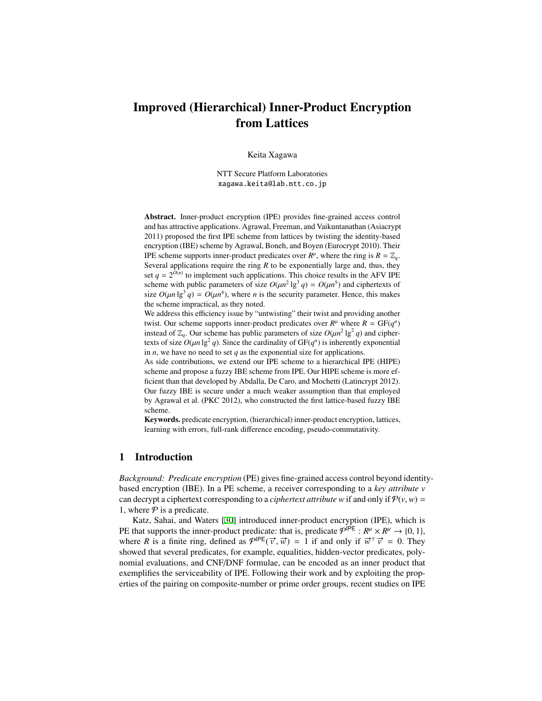# Improved (Hierarchical) Inner-Product Encryption from Lattices

Keita Xagawa

NTT Secure Platform Laboratories xagawa.keita@lab.ntt.co.jp

Abstract. Inner-product encryption (IPE) provides fine-grained access control and has attractive applications. Agrawal, Freeman, and Vaikuntanathan (Asiacrypt 2011) proposed the first IPE scheme from lattices by twisting the identity-based encryption (IBE) scheme by Agrawal, Boneh, and Boyen (Eurocrypt 2010). Their IPE scheme supports inner-product predicates over  $R^{\mu}$ , where the ring is  $R = \mathbb{Z}_q$ . Several applications require the ring *R* to be exponentially large and, thus, they set  $q = 2^{O(n)}$  to implement such applications. This choice results in the AFV IPE scheme with public parameters of size  $O(\mu n^2 \lg^3 q) = O(\mu n^5)$  and ciphertexts of size  $O(\mu n \lg^3 q) = O(\mu n^4)$ , where *n* is the security parameter. Hence, this makes the scheme impractical, as they noted.

We address this efficiency issue by "untwisting" their twist and providing another twist. Our scheme supports inner-product predicates over  $R^{\mu}$  where  $R = GF(q^n)$ instead of  $\mathbb{Z}_q$ . Our scheme has public parameters of size  $O(\mu n^2 \lg^2 q)$  and ciphertexts of size  $O(\mu n \lg^2 q)$ . Since the cardinality of  $GF(q^n)$  is inherently exponential in *n*, we have no need to set *q* as the exponential size for applications.

As side contributions, we extend our IPE scheme to a hierarchical IPE (HIPE) scheme and propose a fuzzy IBE scheme from IPE. Our HIPE scheme is more efficient than that developed by Abdalla, De Caro, and Mochetti (Latincrypt 2012). Our fuzzy IBE is secure under a much weaker assumption than that employed by Agrawal et al. (PKC 2012), who constructed the first lattice-based fuzzy IBE scheme.

Keywords. predicate encryption, (hierarchical) inner-product encryption, lattices, learning with errors, full-rank difference encoding, pseudo-commutativity.

## 1 Introduction

*Background: Predicate encryption* (PE) gives fine-grained access control beyond identitybased encryption (IBE). In a PE scheme, a receiver corresponding to a *key attribute v* can decrypt a ciphertext corresponding to a *ciphertext attribute w* if and only if  $P(v, w)$  = 1, where  $P$  is a predicate.

Katz, Sahai, and Waters [[30\]](#page-17-0) introduced inner-product encryption (IPE), which is PE that supports the inner-product predicate: that is, predicate  $\mathcal{P}^{\text{IPE}} : R^{\mu} \times R^{\mu} \to \{0, 1\}$ , where *R* is a finite ring, defined as  $P^{|PE}(\vec{v}, \vec{w}) = 1$  if and only if  $\vec{w}^{\top} \vec{v} = 0$ . They showed that several predicates, for example, equalities, hidden-vector predicates, polynomial evaluations, and CNF/DNF formulae, can be encoded as an inner product that exemplifies the serviceability of IPE. Following their work and by exploiting the properties of the pairing on composite-number or prime order groups, recent studies on IPE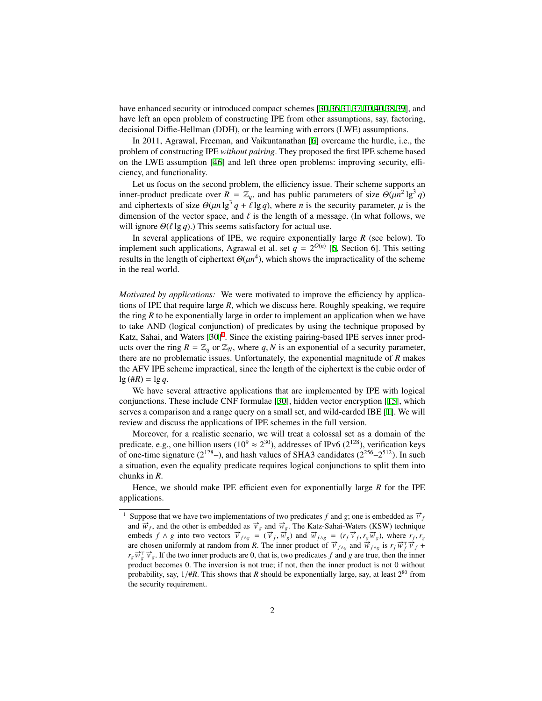have enhanced security or introduced compact schemes [[30](#page-17-0)[,36](#page-17-1),[31,](#page-17-2)[37](#page-17-3),[10,](#page-15-0)[40](#page-17-4),[38,](#page-17-5)[39](#page-17-6)], and have left an open problem of constructing IPE from other assumptions, say, factoring, decisional Diffie-Hellman (DDH), or the learning with errors (LWE) assumptions.

In 2011, Agrawal, Freeman, and Vaikuntanathan [[6\]](#page-15-1) overcame the hurdle, i.e., the problem of constructing IPE *without pairing*. They proposed the first IPE scheme based on the LWE assumption [[46\]](#page-17-7) and left three open problems: improving security, efficiency, and functionality.

Let us focus on the second problem, the efficiency issue. Their scheme supports an inner-product predicate over  $R = \mathbb{Z}_q$ , and has public parameters of size  $\Theta(\mu n^2 \lg^3 q)$ and ciphertexts of size  $\Theta(\mu n \lg^3 q + \ell \lg q)$ , where *n* is the security parameter,  $\mu$  is the dimension of the vector space, and  $\ell$  is the length of a message. (In what follows, we will ignore  $\Theta(\ell \lg q)$ .) This seems satisfactory for actual use.

In several applications of IPE, we require exponentially large *R* (see below). To implement such applications, Agrawal et al. set  $q = 2^{O(n)}$  [\[6](#page-15-1), Section 6]. This setting results in the length of ciphertext  $\Theta(\mu n^4)$ , which shows the impracticality of the scheme in the real world.

*Motivated by applications:* We were motivated to improve the efficiency by applications of IPE that require large *R*, which we discuss here. Roughly speaking, we require the ring  $R$  to be exponentially large in order to implement an application when we have to take AND (logical conjunction) of predicates by using the technique proposed by Katz, Sahai, and Waters [[30\]](#page-17-0)<sup>[1](#page-1-0)</sup>. Since the existing pairing-based IPE serves inner products over the ring  $R = \mathbb{Z}_q$  or  $\mathbb{Z}_N$ , where q, N is an exponential of a security parameter, there are no problematic issues. Unfortunately, the exponential magnitude of *R* makes the AFV IPE scheme impractical, since the length of the ciphertext is the cubic order of  $lg (\#R) = lg q$ .

We have several attractive applications that are implemented by IPE with logical conjunctions. These include CNF formulae [\[30](#page-17-0)], hidden vector encryption [[15\]](#page-16-0), which serves a comparison and a range query on a small set, and wild-carded IBE [[1\]](#page-15-2). We will review and discuss the applications of IPE schemes in the full version.

Moreover, for a realistic scenario, we will treat a colossal set as a domain of the predicate, e.g., one billion users ( $10^9 \approx 2^{30}$ ), addresses of IPv6 ( $2^{128}$ ), verification keys of one-time signature ( $2^{128}$ –), and hash values of SHA3 candidates ( $2^{256}$ – $2^{512}$ ). In such a situation, even the equality predicate requires logical conjunctions to split them into chunks in *R*.

Hence, we should make IPE efficient even for exponentially large *R* for the IPE applications.

<span id="page-1-0"></span>Suppose that we have two implementations of two predicates *f* and *g*; one is embedded as  $\vec{v}_f$ and  $\vec{w}_f$ , and the other is embedded as  $\vec{v}_g$  and  $\vec{w}_g$ . The Katz-Sahai-Waters (KSW) technique embeds  $f \wedge g$  into two vectors  $\vec{v}_{f \wedge g} = (\vec{v}_f, \vec{w}_g)$  and  $\vec{w}_{f \wedge g} = (r_f \vec{v}_f, r_g \vec{w}_g)$ , where  $r_f, r_g$  are chosen uniformly at random from R. The inner product of  $\vec{v}_{f \wedge g}$  and  $\vec{w}_{f \wedge g}$  is  $r_f \vec{w}_f^T \$  $r_g \vec{w}_g^T \vec{v}_g$ . If the two inner products are 0, that is, two predicates *f* and *g* are true, then the inner product becomes 0. The inversion is not true; if not, then the inner product is not 0 without probability, say,  $1/#R$ . This shows that *R* should be exponentially large, say, at least  $2^{80}$  from the security requirement.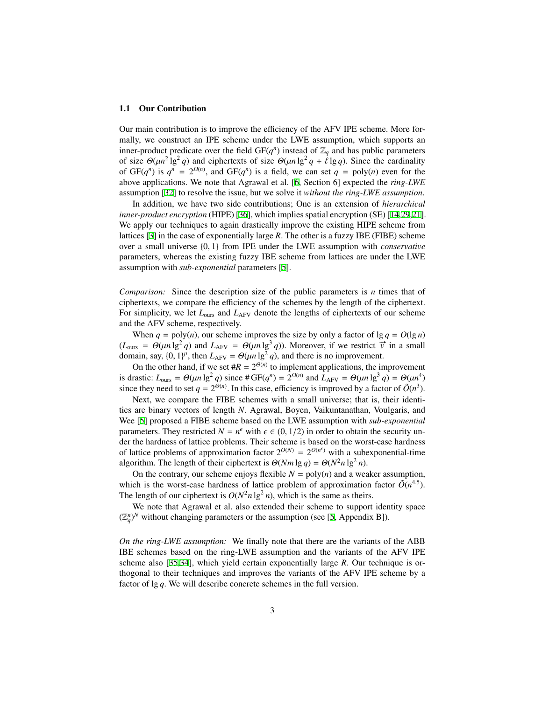#### 1.1 Our Contribution

Our main contribution is to improve the efficiency of the AFV IPE scheme. More formally, we construct an IPE scheme under the LWE assumption, which supports an inner-product predicate over the field  $GF(q^n)$  instead of  $\mathbb{Z}_q$  and has public parameters of size  $\Theta(\mu n^2 \lg^2 q)$  and ciphertexts of size  $\Theta(\mu n \lg^2 q + \ell \lg q)$ . Since the cardinality of  $GF(q^n)$  is  $q^n = 2^{\Omega(n)}$ , and  $GF(q^n)$  is a field, we can set  $q = \text{poly}(n)$  even for the above applications. We note that Agrawal et al. [[6,](#page-15-1) Section 6] expected the *ring-LWE* assumption [[32\]](#page-17-8) to resolve the issue, but we solve it *without the ring-LWE assumption*.

In addition, we have two side contributions; One is an extension of *hierarchical inner-product encryption* (HIPE) [[36\]](#page-17-1), which implies spatial encryption (SE) [[14](#page-16-1)[,29](#page-16-2),[21\]](#page-16-3). We apply our techniques to again drastically improve the existing HIPE scheme from lattices [\[3](#page-15-3)] in the case of exponentially large *R*. The other is a fuzzy IBE (FIBE) scheme over a small universe {0, 1} from IPE under the LWE assumption with *conservative* parameters, whereas the existing fuzzy IBE scheme from lattices are under the LWE assumption with *sub-exponential* parameters [\[5](#page-15-4)].

*Comparison:* Since the description size of the public parameters is *n* times that of ciphertexts, we compare the efficiency of the schemes by the length of the ciphertext. For simplicity, we let  $L_{\text{ours}}$  and  $L_{\text{AFV}}$  denote the lengths of ciphertexts of our scheme and the AFV scheme, respectively.

When  $q = \text{poly}(n)$ , our scheme improves the size by only a factor of  $\lg q = O(\lg n)$ (*L*<sub>ours</sub> =  $\Theta(\mu n \lg^2 q)$  and *L*<sub>AFV</sub> =  $\Theta(\mu n \lg^3 q)$ ). Moreover, if we restrict  $\vec{v}$  in a small domain, say,  $\{0, 1\}^{\mu}$ , then  $L_{AFV} = \Theta(\mu n \lg^2 q)$ , and there is no improvement.

On the other hand, if we set  $#R = 2^{\Theta(n)}$  to implement applications, the improvement is drastic:  $L_{\text{ours}} = \Theta(\mu n \lg^2 q)$  since  $\# \text{GF}(q^n) = 2^{\Omega(n)}$  and  $L_{\text{AFV}} = \Theta(\mu n \lg^3 q) = \Theta(\mu n^4)$ since they need to set  $q = 2^{\Theta(n)}$ . In this case, efficiency is improved by a factor of  $\tilde{O}(n^3)$ .

Next, we compare the FIBE schemes with a small universe; that is, their identities are binary vectors of length *N*. Agrawal, Boyen, Vaikuntanathan, Voulgaris, and Wee [\[5](#page-15-4)] proposed a FIBE scheme based on the LWE assumption with *sub-exponential* parameters. They restricted  $N = n^{\epsilon}$  with  $\epsilon \in (0, 1/2)$  in order to obtain the security under the hardness of lattice problems. Their scheme is based on the worst-case hardness of lattice problems of approximation factor  $2^{O(N)} = 2^{O(n^{\epsilon})}$  with a subexponential-time algorithm. The length of their ciphertext is  $\Theta(Nm \lg q) = \Theta(N^2 n \lg^2 n)$ .

On the contrary, our scheme enjoys flexible  $N = \text{poly}(n)$  and a weaker assumption, which is the worst-case hardness of lattice problem of approximation factor  $\tilde{O}(n^{4.5})$ . The length of our ciphertext is  $O(N^2 n \lg^2 n)$ , which is the same as theirs.

We note that Agrawal et al. also extended their scheme to support identity space  $(\mathbb{Z}_q^n)^N$  without changing parameters or the assumption (see [\[5](#page-15-4), Appendix B]).

*On the ring-LWE assumption:* We finally note that there are the variants of the ABB IBE schemes based on the ring-LWE assumption and the variants of the AFV IPE scheme also [\[35](#page-17-9),[34](#page-17-10)], which yield certain exponentially large *R*. Our technique is orthogonal to their techniques and improves the variants of the AFV IPE scheme by a factor of lg *q*. We will describe concrete schemes in the full version.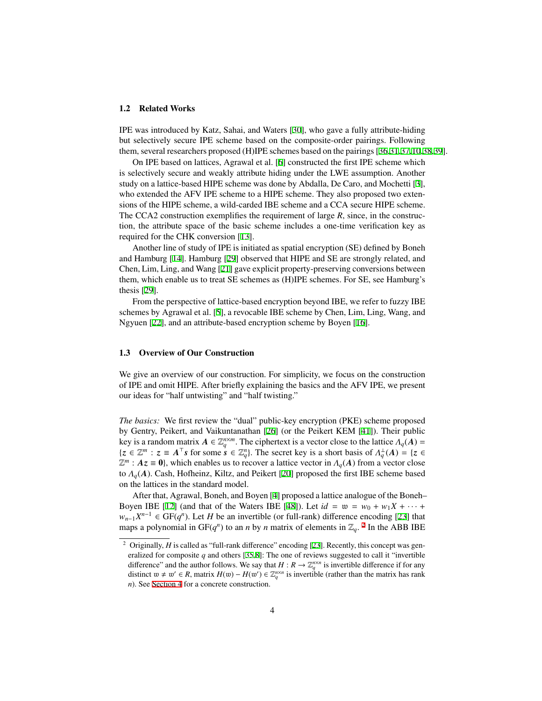#### 1.2 Related Works

IPE was introduced by Katz, Sahai, and Waters [[30\]](#page-17-0), who gave a fully attribute-hiding but selectively secure IPE scheme based on the composite-order pairings. Following them, several researchers proposed (H)IPE schemes based on the pairings [\[36](#page-17-1)[,31](#page-17-2),[37](#page-17-3)[,10](#page-15-0),[38](#page-17-5)[,39](#page-17-6)].

On IPE based on lattices, Agrawal et al. [\[6](#page-15-1)] constructed the first IPE scheme which is selectively secure and weakly attribute hiding under the LWE assumption. Another study on a lattice-based HIPE scheme was done by Abdalla, De Caro, and Mochetti [[3\]](#page-15-3), who extended the AFV IPE scheme to a HIPE scheme. They also proposed two extensions of the HIPE scheme, a wild-carded IBE scheme and a CCA secure HIPE scheme. The CCA2 construction exemplifies the requirement of large *R*, since, in the construction, the attribute space of the basic scheme includes a one-time verification key as required for the CHK conversion [[13\]](#page-16-4).

Another line of study of IPE is initiated as spatial encryption (SE) defined by Boneh and Hamburg [[14\]](#page-16-1). Hamburg [\[29](#page-16-2)] observed that HIPE and SE are strongly related, and Chen, Lim, Ling, and Wang [[21\]](#page-16-3) gave explicit property-preserving conversions between them, which enable us to treat SE schemes as (H)IPE schemes. For SE, see Hamburg's thesis [\[29](#page-16-2)].

From the perspective of lattice-based encryption beyond IBE, we refer to fuzzy IBE schemes by Agrawal et al. [\[5](#page-15-4)], a revocable IBE scheme by Chen, Lim, Ling, Wang, and Ngyuen [\[22](#page-16-5)], and an attribute-based encryption scheme by Boyen [\[16](#page-16-6)].

### 1.3 Overview of Our Construction

We give an overview of our construction. For simplicity, we focus on the construction of IPE and omit HIPE. After briefly explaining the basics and the AFV IPE, we present our ideas for "half untwisting" and "half twisting."

*The basics:* We first review the "dual" public-key encryption (PKE) scheme proposed by Gentry, Peikert, and Vaikuntanathan [\[26](#page-16-7)] (or the Peikert KEM [\[41](#page-17-11)]). Their public key is a random matrix  $A \in \mathbb{Z}_q^{n \times m}$ . The ciphertext is a vector close to the lattice  $\Lambda_q(A) =$  ${z \in \mathbb{Z}^m : z \equiv A^\top s \text{ for some } s \in \mathbb{Z}_q^n}$ . The secret key is a short basis of  $\Lambda_q^{\perp}(A) = {z \in \mathbb{Z}_q^n}$  $\mathbb{Z}^m$ :  $Az = 0$ , which enables us to recover a lattice vector in  $\Lambda_q(A)$  from a vector close to Λ*q*(*A*). Cash, Hofheinz, Kiltz, and Peikert [\[20](#page-16-8)] proposed the first IBE scheme based on the lattices in the standard model.

After that, Agrawal, Boneh, and Boyen [\[4](#page-15-5)] proposed a lattice analogue of the Boneh– Boyen IBE [[12\]](#page-16-9) (and that of the Waters IBE [[48\]](#page-17-12)). Let  $id = w = w_0 + w_1X + \cdots$  $w_{n-1}X^{n-1}$  ∈ GF( $q^n$ ). Let *H* be an invertible (or full-rank) difference encoding [[23\]](#page-16-10) that maps a polynomial in GF( $q^n$ ) to an *n* by *n* matrix of elements in  $\mathbb{Z}_q$ . <sup>[2](#page-3-0)</sup> In the ABB IBE

<span id="page-3-0"></span><sup>&</sup>lt;sup>2</sup> Originally, *H* is called as "full-rank difference" encoding [[23\]](#page-16-10). Recently, this concept was generalized for composite *q* and others [\[35](#page-17-9),[8](#page-15-6)]: The one of reviews suggested to call it "invertible difference" and the author follows. We say that  $H: R \to \mathbb{Z}_q^{n \times n}$  is invertible difference if for any distinct w ≠ w' ∈ *R*, matrix *H*(w) − *H*(w') ∈  $\mathbb{Z}_q^{n \times n}$  is invertible (rather than the matrix has rank *n*). See [Section 4](#page-9-0) for a concrete construction.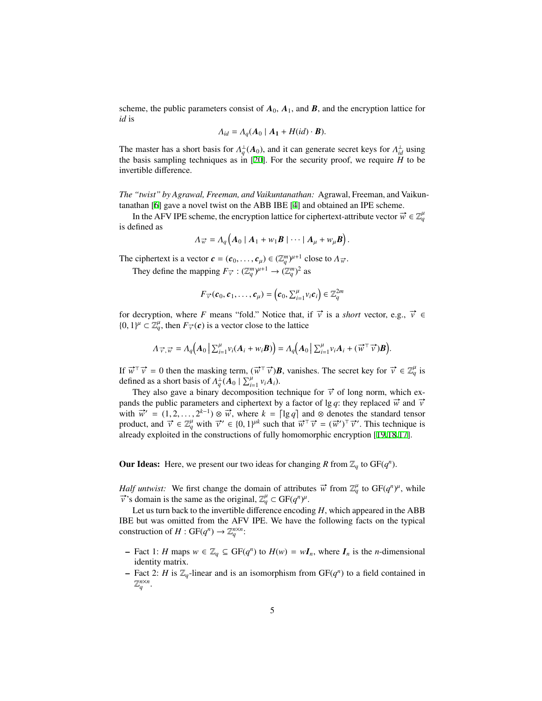scheme, the public parameters consist of  $A_0$ ,  $A_1$ , and  $B$ , and the encryption lattice for *id* is

$$
\Lambda_{id} = \Lambda_q(A_0 \mid A_1 + H(id) \cdot B).
$$

The master has a short basis for  $\Lambda_q^{\perp}(A_0)$ , and it can generate secret keys for  $\Lambda_{id}^{\perp}$  using the basis sampling techniques as in [[20\]](#page-16-8). For the security proof, we require *H* to be invertible difference.

*The "twist" by Agrawal, Freeman, and Vaikuntanathan:* Agrawal, Freeman, and Vaikuntanathan [\[6](#page-15-1)] gave a novel twist on the ABB IBE [\[4](#page-15-5)] and obtained an IPE scheme.

In the AFV IPE scheme, the encryption lattice for ciphertext-attribute vector  $\vec{w} \in \mathbb{Z}_q^{\mu}$ is defined as

$$
\Lambda_{\overrightarrow{w}} = \Lambda_q \big( A_0 \mid A_1 + w_1 B \mid \cdots \mid A_\mu + w_\mu B \big).
$$

The ciphertext is a vector  $\mathbf{c} = (\mathbf{c}_0, \dots, \mathbf{c}_{\mu}) \in (\mathbb{Z}_q^m)^{\mu+1}$  close to  $\Lambda_{\vec{w}}$ .

They define the mapping  $F_{\vec{v}}$  :  $(\mathbb{Z}_q^m)^{\mu+1} \to (\mathbb{Z}_q^m)^2$  as

$$
F_{\vec{v}}(c_0, c_1, \ldots, c_{\mu}) = (c_0, \sum_{i=1}^{\mu} v_i c_i) \in \mathbb{Z}_q^{2m}
$$

for decryption, where *F* means "fold." Notice that, if  $\vec{v}$  is a *short* vector, e.g.,  $\vec{v} \in$  $\{0, 1\}^{\mu} \subset \mathbb{Z}_q^{\mu}$ , then  $F_{\vec{v}}(c)$  is a vector close to the lattice

$$
\Lambda_{\vec{v}, \vec{w}} = \Lambda_q\big(A_0 \, \left| \, \Sigma_{i=1}^{\mu} v_i(A_i + w_i \boldsymbol{B}) \right) = \Lambda_q\big(A_0 \, \left| \, \Sigma_{i=1}^{\mu} v_i A_i + (\vec{w}^\top \vec{v}) \boldsymbol{B} \right).
$$

If  $\vec{w}^{\top} \vec{v} = 0$  then the masking term,  $(\vec{w}^{\top} \vec{v})\vec{B}$ , vanishes. The secret key for  $\vec{v} \in \mathbb{Z}_q^{\mu}$  is defined as a short basis of  $A_q^{\perp}(A_0 | \sum_{i=1}^{\mu} v_i A_i)$ .

They also gave a binary decomposition technique for  $\vec{v}$  of long norm, which expands the public parameters and ciphertext by a factor of lg *q*: they replaced  $\vec{w}$  and  $\vec{v}$ with  $\vec{w}' = (1, 2, ..., 2^{k-1}) \otimes \vec{w}$ , where  $k = \lceil \lg q \rceil$  and  $\otimes$  denotes the standard tensor product, and  $\vec{v} \in \mathbb{Z}_q^{\mu}$  with  $\vec{v}' \in \{0, 1\}^{\mu k}$  such that  $\vec{w}^{\top} \vec{v} = (\vec{w}')^{\top} \vec{v}'$ . This technique is already exploited in the constructions of fully homomorphic encryption [\[19](#page-16-11),[18](#page-16-12)[,17](#page-16-13)].

**Our Ideas:** Here, we present our two ideas for changing *R* from  $\mathbb{Z}_q$  to GF( $q^n$ ).

*Half untwist:* We first change the domain of attributes  $\vec{w}$  from  $\mathbb{Z}_q^{\mu}$  to  $GF(q^n)^{\mu}$ , while *v*'s domain is the same as the original,  $\mathbb{Z}_q^{\mu} \subset GF(q^n)^{\mu}$ .

Let us turn back to the invertible difference encoding *H*, which appeared in the ABB IBE but was omitted from the AFV IPE. We have the following facts on the typical construction of  $H: GF(q^n) \to \mathbb{Z}_q^{n \times n}$ :

- $\vdash$  Fact 1: *H* maps  $w \in \mathbb{Z}_q$  ⊆ GF( $q^n$ ) to  $H(w) = wI_n$ , where  $I_n$  is the *n*-dimensional identity matrix.
- Fact 2: *H* is  $\mathbb{Z}_q$ -linear and is an isomorphism from  $GF(q^n)$  to a field contained in  $\mathbb{Z}_q^{n \times n}$ .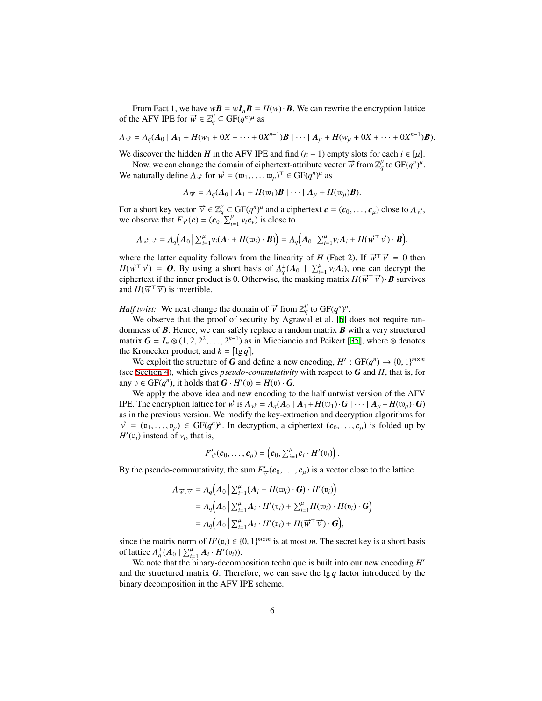From Fact 1, we have  $w\mathbf{B} = w\mathbf{I}_n\mathbf{B} = H(w) \cdot \mathbf{B}$ . We can rewrite the encryption lattice of the AFV IPE for  $\vec{w} \in \mathbb{Z}_q^{\mu} \subseteq GF(q^n)^{\mu}$  as

$$
\Lambda_{\overrightarrow{w}} = \Lambda_q(A_0 \mid A_1 + H(w_1 + 0X + \cdots + 0X^{n-1})B \mid \cdots \mid A_\mu + H(w_\mu + 0X + \cdots + 0X^{n-1})B).
$$

We discover the hidden *H* in the AFV IPE and find  $(n - 1)$  empty slots for each  $i \in [\mu]$ .

Now, we can change the domain of ciphertext-attribute vector  $\vec{w}$  from  $\mathbb{Z}_q^{\mu}$  to  $GF(q^n)^{\mu}$ . We naturally define  $Λ_{\vec{w}}$  for  $\vec{w} = (w_1, \ldots, w_{\mu})^{\top} \in GF(q^n)^{\mu}$  as

$$
\Lambda_{\overrightarrow{w}} = \Lambda_q(A_0 \mid A_1 + H(\mathfrak{w}_1)\mathbf{B} \mid \cdots \mid A_\mu + H(\mathfrak{w}_\mu)\mathbf{B}).
$$

For a short key vector  $\vec{v} \in \mathbb{Z}_q^\mu \subset \text{GF}(q^n)^\mu$  and a ciphertext  $\mathbf{c} = (\mathbf{c}_0, \dots, \mathbf{c}_\mu)$  close to  $\Lambda_{\vec{w}},$ we observe that  $F_{\vec{v}}(c) = (c_0, \sum_{i=1}^{7} v_i c_v)$  is close to

$$
\Lambda_{\vec{w},\vec{v}} = \Lambda_q\big(A_0 \,|\, \sum_{i=1}^{\mu} v_i(A_i + H(\mathfrak{w}_i) \cdot \boldsymbol{B})\big) = \Lambda_q\big(A_0 \,|\, \sum_{i=1}^{\mu} v_i A_i + H(\vec{w}^\top \vec{v}) \cdot \boldsymbol{B}\big),
$$

where the latter equality follows from the linearity of *H* (Fact 2). If  $\vec{w}^{\top} \vec{v} = 0$  then  $H(\vec{w}^T \vec{v}) = 0$ . By using a short basis of  $\Lambda_q^{\perp}(A_0 \mid \sum_{i=1}^{\mu} v_i A_i)$ , one can decrypt the ciphertext if the inner product is 0. Otherwise, the masking matrix  $H(\vec{w}^T \vec{v}) \cdot \vec{B}$  survives and  $H(\vec{w}^{\top}\vec{v})$  is invertible.

*Half twist:* We next change the domain of  $\vec{v}$  from  $\mathbb{Z}_q^{\mu}$  to  $GF(q^n)^{\mu}$ .

We observe that the proof of security by Agrawal et al. [[6](#page-15-1)] does not require randomness of *B*. Hence, we can safely replace a random matrix *B* with a very structured matrix  $G = I_n \otimes (1, 2, 2^2, \dots, 2^{k-1})$  as in Micciancio and Peikert [[35\]](#page-17-9), where  $\otimes$  denotes the Kronecker product, and  $k = \lceil \lg q \rceil$ ,

We exploit the structure of *G* and define a new encoding,  $H': GF(q^n) \to \{0, 1\}^{m \times m}$ (see [Section 4\)](#page-9-0), which gives *pseudo-commutativity* with respect to *G* and *H*, that is, for any  $v \in GF(q^n)$ , it holds that  $G \cdot H'(v) = H(v) \cdot G$ .

We apply the above idea and new encoding to the half untwist version of the AFV IPE. The encryption lattice for  $\vec{w}$  is  $\Lambda_{\vec{w}} = \Lambda_q(A_0 | A_1 + H(w_1) \cdot \mathbf{G} | \cdots | A_u + H(w_u) \cdot \mathbf{G} )$ as in the previous version. We modify the key-extraction and decryption algorithms for  $\vec{v} = (v_1, \dots, v_\mu) \in GF(q^n)^\mu$ . In decryption, a ciphertext  $(c_0, \dots, c_\mu)$  is folded up by  $H'(\mathfrak{v}_i)$  instead of  $v_i$ , that is,

$$
F'_{\overrightarrow{v}}(c_0,\ldots,c_\mu)=\left(c_0,\sum_{i=1}^\mu c_i\cdot H'(\mathfrak{v}_i)\right).
$$

By the pseudo-commutativity, the sum  $F'_{\vec{v}}(c_0, \ldots, c_\mu)$  is a vector close to the lattice

$$
\Lambda_{\overrightarrow{w},\overrightarrow{v}} = \Lambda_q \Big( A_0 \Big| \sum_{i=1}^{\mu} (A_i + H(\mathfrak{w}_i) \cdot \mathbf{G}) \cdot H'(\mathfrak{v}_i) \Big)
$$
  
=  $\Lambda_q \Big( A_0 \Big| \sum_{i=1}^{\mu} A_i \cdot H'(\mathfrak{v}_i) + \sum_{i=1}^{\mu} H(\mathfrak{w}_i) \cdot H(\mathfrak{v}_i) \cdot \mathbf{G} \Big)$   
=  $\Lambda_q \Big( A_0 \Big| \sum_{i=1}^{\mu} A_i \cdot H'(\mathfrak{v}_i) + H(\overrightarrow{w}^{\top} \overrightarrow{v}) \cdot \mathbf{G} \Big),$ 

since the matrix norm of  $H'(v_i) \in \{0, 1\}^{m \times m}$  is at most *m*. The secret key is a short basis of lattice  $A_q^{\perp}(A_0 | \sum_{i=1}^{\mu} A_i \cdot H'(v_i))$ .

We note that the binary-decomposition technique is built into our new encoding *H'* and the structured matrix  $G$ . Therefore, we can save the lg  $q$  factor introduced by the binary decomposition in the AFV IPE scheme.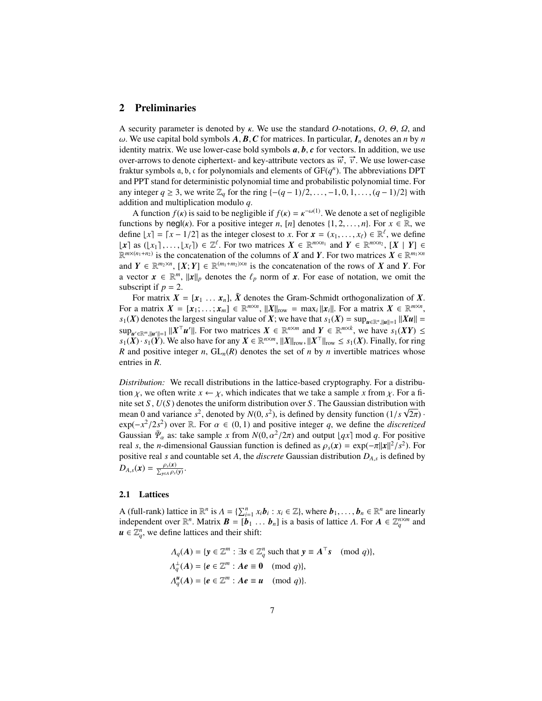## 2 Preliminaries

A security parameter is denoted by κ. We use the standard *O*-notations, *O*, Θ, Ω, and  $\omega$ . We use capital bold symbols  $A$ ,  $B$ ,  $C$  for matrices. In particular,  $I_n$  denotes an *n* by *n* identity matrix. We use lower-case bold symbols *a*, *b*, *c* for vectors. In addition, we use over-arrows to denote ciphertext- and key-attribute vectors as  $\vec{w}$ ,  $\vec{v}$ . We use lower-case fraktur symbols  $a, b, c$  for polynomials and elements of  $GF(q^n)$ . The abbreviations DPT and PPT stand for deterministic polynomial time and probabilistic polynomial time. For any integer  $q \ge 3$ , we write  $\mathbb{Z}_q$  for the ring  $\{-(q-1)/2, \ldots, -1, 0, 1, \ldots, (q-1)/2\}$  with addition and multiplication modulo *q*.

A function  $f(\kappa)$  is said to be negligible if  $f(\kappa) = \kappa^{-\omega(1)}$ . We denote a set of negligible functions by negl(*κ*). For a positive integer *n*, [*n*] denotes  $\{1, 2, \ldots, n\}$ . For  $x \in \mathbb{R}$ , we define  $\lfloor x \rfloor = \lceil x - 1/2 \rceil$  as the integer closest to *x*. For  $\mathbf{x} = (x_1, \dots, x_\ell) \in \mathbb{R}^\ell$ , we define  $\lfloor x \rceil$  as  $(\lfloor x_1 \rceil, \ldots, \lfloor x_\ell \rceil) \in \mathbb{Z}^\ell$ . For two matrices  $X \in \mathbb{R}^{m \times n_1}$  and  $Y \in \mathbb{R}^{m \times n_2}$ ,  $\lfloor X \rceil$   $Y \rfloor \in$  $\mathbb{R}^{m \times (n_1+n_2)}$  is the concatenation of the columns of *X* and *Y*. For two matrices  $X \in \mathbb{R}^{m_1 \times n}$ and  $Y \in \mathbb{R}^{m_2 \times n}$ ,  $[X; Y] \in \mathbb{R}^{(m_1 + m_2) \times n}$  is the concatenation of the rows of *X* and *Y*. For a vector  $\mathbf{x} \in \mathbb{R}^m$ ,  $\|\mathbf{x}\|_p$  denotes the  $\ell_p$  norm of  $\mathbf{x}$ . For ease of notation, we omit the subscript if  $p = 2$ .

For matrix  $X = [x_1 \dots x_n]$ ,  $\tilde{X}$  denotes the Gram-Schmidt orthogonalization of X. For a matrix  $X = [x_1; \ldots; x_m] \in \mathbb{R}^{m \times n}$ ,  $||X||_{\text{row}} = \max_i ||x_i||$ . For a matrix  $X \in \mathbb{R}^{m \times n}$ , *s*<sub>1</sub>(*X*) denotes the largest singular value of *X*; we have that  $s_1(X) = \sup_{u \in \mathbb{R}^n, ||u|| = 1} ||Xu||$  $\sup_{u' \in \mathbb{R}^m, \|u'\| = 1} \|X^\top u'\|$ . For two matrices  $X \in \mathbb{R}^{n \times m}$  and  $Y \in \mathbb{R}^{m \times k}$ , we have  $s_1(XY) \leq$  $s_1(X) \cdot s_1(Y)$ . We also have for any  $X \in \mathbb{R}^{n \times m}$ ,  $||X||_{row}$ ,  $||X^{\top}||_{row} \leq s_1(X)$ . Finally, for ring *R* and positive integer *n*,  $GL_n(R)$  denotes the set of *n* by *n* invertible matrices whose entries in *R*.

*Distribution:* We recall distributions in the lattice-based cryptography. For a distribution  $\chi$ , we often write  $x \leftarrow \chi$ , which indicates that we take a sample x from  $\chi$ . For a finite set *S*,  $U(S)$  denotes the uniform distribution over *S*. The Gaussian distribution with mean 0 and variance  $s^2$ , denoted by  $N(0, s^2)$ , is defined by density function  $(1/s \sqrt{2\pi}) \cdot$ exp( $-x^2/2s^2$ ) over ℝ. For  $\alpha \in (0, 1)$  and positive integer q, we define the *discretized* Gaussian  $\bar{\Psi}_{\alpha}$  as: take sample *x* from  $N(0, \alpha^2/2\pi)$  and output  $[qx]$  mod *q*. For positive real *s*, the *n*-dimensional Gaussian function is defined as  $\rho_s(\mathbf{x}) = \exp(-\pi ||\mathbf{x}||^2 / s^2)$ . For positive real *s* and countable set *A*, the *discrete* Gaussian distribution *DA*,*<sup>s</sup>* is defined by  $D_{A,s}(\boldsymbol{x}) = \frac{\rho_s(\boldsymbol{x})}{\sum_{\boldsymbol{y} \in A} \rho_s(\boldsymbol{y})}$ .

#### 2.1 Lattices

A (full-rank) lattice in  $\mathbb{R}^n$  is  $\Lambda = \{\sum_{i=1}^n x_i \mathbf{b}_i : x_i \in \mathbb{Z}\}\)$ , where  $\mathbf{b}_1, \ldots, \mathbf{b}_n \in \mathbb{R}^n$  are linearly independent over  $\mathbb{R}^n$ . Matrix  $\mathbf{B} = [\mathbf{b}_1 \dots \mathbf{b}_n]$  is a basis of lattice  $\Lambda$ . For  $\mathbf{A} \in \mathbb{Z}_q^{n \times m}$  and  $u \in \mathbb{Z}_q^n$ , we define lattices and their shift:

> $\Lambda_q(A) = \{ y \in \mathbb{Z}^m : \exists s \in \mathbb{Z}_q^n \text{ such that } y \equiv A^\top s \pmod{q} \},\$  $\Lambda_q^{\perp}(A) = \{e \in \mathbb{Z}^m : Ae \equiv 0 \pmod{q}\},\$  $\Lambda_q^{\mathbf{u}}(A) = \{ \mathbf{e} \in \mathbb{Z}^m : A\mathbf{e} \equiv \mathbf{u} \pmod{q} \}.$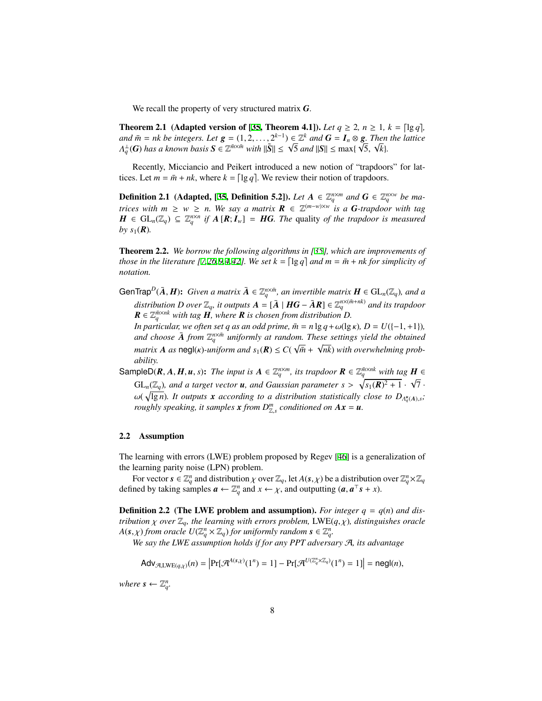We recall the property of very structured matrix *G*.

**Theorem 2.1** (Adapted version of [\[35](#page-17-9), Theorem 4.1]). *Let*  $q \ge 2$ ,  $n \ge 1$ ,  $k = \lceil \lg q \rceil$ , *and*  $\bar{m} = n$ *k be integers. Let*  $g = (1, 2, ..., 2^{k-1}) \in \mathbb{Z}^k$  *and*  $G = I_n \otimes g$ . *Then the lattice*  $\Delta A_{\mathbf{q}}^{\perp}(\mathbf{G})$  *has a known basis*  $\mathbf{S} \in \mathbb{Z}^{\bar{m} \times \bar{m}}$  *with*  $\|\tilde{\mathbf{S}}\| \leq \sqrt{5}$  *and*  $\|\mathbf{S}\| \leq \max\{\sqrt{5}, \sqrt{k}\}.$ 

Recently, Micciancio and Peikert introduced a new notion of "trapdoors" for lattices. Let  $m = \overline{m} + nk$ , where  $k = \lfloor \lg q \rfloor$ . We review their notion of trapdoors.

**Definition 2.1** (Adapted, [[35,](#page-17-9) Definition 5.2]). *Let*  $A \in \mathbb{Z}_q^{n \times m}$  and  $G \in \mathbb{Z}_q^{n \times w}$  be ma*trices with*  $m \geq w \geq n$ . We say a matrix  $\mathbf{R} \in \mathbb{Z}^{(m-w)\times w}$  is a **G**-trapdoor with tag *H* ∈  $GL_n(\mathbb{Z}_q)$  ⊆  $\mathbb{Z}_q^{n \times n}$  *if*  $A[R; I_w] = HG$ *. The* quality *of the trapdoor is measured* by  $s_1(\mathbf{R})$ .

Theorem 2.2. *We borrow the following algorithms in [\[35](#page-17-9)], which are improvements of those in the literature* [\[7](#page-15-7),[26](#page-16-7),[9](#page-15-8)[,4](#page-15-5),[42\]](#page-17-13). We set  $k = \lfloor \lg q \rfloor$  and  $m = \overline{m} + nk$  for simplicity of *notation.*

 $G$ enTrap $^D(\bar{A}, H)$ : *Given a matrix*  $\bar{A}\in \mathbb{Z}_q^{n\times \bar{m}}$ , an invertible matrix  $H\in GL_n(\mathbb{Z}_q)$ , and a  $distribution$   $D$   $over  $\mathbb{Z}_q$ *, it outputs*  $A = [\bar{A} \mid HG - \bar{A}R] \in \mathbb{Z}_q^{n \times (\bar{m} + nk)}$  and its trapdoor$  $\boldsymbol{R} \in \mathbb{Z}_q^{\bar{m} \times nk}$  with tag  $\boldsymbol{H}$ , where  $\boldsymbol{R}$  is chosen from distribution  $D$ .

*In particular, we often set q as an odd prime,*  $\bar{m} = n \lg q + \omega(\lg \kappa)$ *,*  $D = U([-1, +1])$ *,* and choose  $\overline{A}$  *from*  $\mathbb{Z}_q^{n \times \overline{n}}$  *uniformly at random. These settings yield the obtained matrix*  $A$  *as*  $\text{negl}(k)$ -uniform and  $s_1(R) \leq C(\sqrt{\bar{m}} + \sqrt{n}k)$  with overwhelming prob*ability.*

SampleD(*R*, *A*, *H*, *u*, *s*): *The input is*  $A \in \mathbb{Z}_q^{n \times m}$ , *its trapdoor*  $R \in \mathbb{Z}_q^{\overline{n} \times nk}$  with tag  $H \in$  $GL_n(\mathbb{Z}_q)$ , and a target vector **u**, and Gaussian parameter  $s > \sqrt{s_1(\mathbf{R})^2 + 1} \cdot \sqrt{7}$ .  $\omega(\sqrt{\lg n})$ . It outputs **x** according to a distribution statistically close to  $D_{\Lambda_q^u(A),s}$ ; *roughly speaking, it samples*  $x$  *from*  $D_{\mathbb{Z}_s}^m$  *conditioned on*  $Ax = u$ *.* 

## 2.2 Assumption

The learning with errors (LWE) problem proposed by Regev [[46\]](#page-17-7) is a generalization of the learning parity noise (LPN) problem.

For vector  $s \in \mathbb{Z}_q^n$  and distribution  $\chi$  over  $\mathbb{Z}_q$ , let  $A(s,\chi)$  be a distribution over  $\mathbb{Z}_q^n \times \mathbb{Z}_q$ defined by taking samples  $\boldsymbol{a} \leftarrow \mathbb{Z}_q^n$  and  $x \leftarrow \chi$ , and outputting  $(\boldsymbol{a}, \boldsymbol{a}^\top \boldsymbol{s} + x)$ .

**Definition 2.2** (The LWE problem and assumption). *For integer*  $q = q(n)$  *and distribution*  $\chi$  *over*  $\mathbb{Z}_q$ *, the learning with errors problem,* LWE( $q$ , $\chi$ )*, distinguishes oracle*  $A(\mathbf{s}, \chi)$  *from oracle*  $U(\mathbb{Z}_q^n \times \mathbb{Z}_q)$  *for uniformly random*  $\mathbf{s} \in \mathbb{Z}_q^n$ *.* 

*We say the LWE assumption holds if for any PPT adversary* A*, its advantage*

$$
\mathsf{Adv}_{\mathcal{A},\mathsf{LWE}(q,\chi)}(n) = \left| \Pr[\mathcal{A}^{A(s,\chi)}(1^n) = 1] - \Pr[\mathcal{A}^{U(\mathbb{Z}_q^n \times \mathbb{Z}_q)}(1^n) = 1] \right| = \mathsf{negl}(n),
$$

*where*  $s \leftarrow \mathbb{Z}_q^n$ .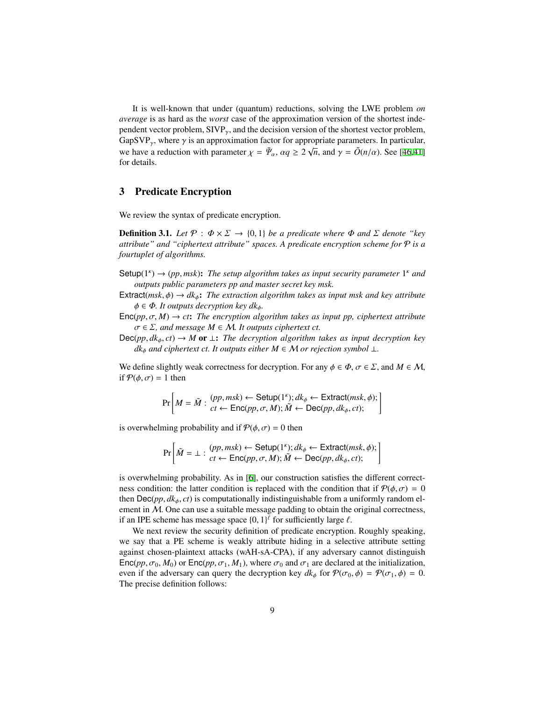It is well-known that under (quantum) reductions, solving the LWE problem *on average* is as hard as the *worst* case of the approximation version of the shortest independent vector problem,  $SIVP_{\gamma}$ , and the decision version of the shortest vector problem, GapSVP<sub>γ</sub>, where  $\gamma$  is an approximation factor for appropriate parameters. In particular, we have a reduction with parameter  $\chi = \bar{\Psi}_\alpha$ ,  $\alpha q \ge 2\sqrt{n}$ , and  $\gamma = \tilde{O}(n/\alpha)$ . See [[46](#page-17-7)[,41](#page-17-11)] for details.

# 3 Predicate Encryption

We review the syntax of predicate encryption.

**Definition 3.1.** *Let*  $\mathcal{P}: \Phi \times \Sigma \rightarrow \{0, 1\}$  *be a predicate where*  $\Phi$  *and*  $\Sigma$  *denote* "*key attribute" and "ciphertext attribute" spaces. A predicate encryption scheme for* P *is a fourtuplet of algorithms.*

- Setup( $1^k$ )  $\rightarrow$  (pp, msk): The setup algorithm takes as input security parameter  $1^k$  and *outputs public parameters pp and master secret key msk.*
- Extract( $msk, \phi$ )  $\rightarrow dk_{\phi}$ : *The extraction algorithm takes as input msk and key attribute*  $\phi \in \Phi$ *. It outputs decryption key dk*<sub> $\phi$ </sub>.
- $Enc(pp, \sigma, M) \rightarrow ct$ : *The encryption algorithm takes as input pp, ciphertext attribute*  $\sigma \in \Sigma$ , and message  $M \in \mathcal{M}$ . It outputs ciphertext ct.
- Dec(*pp*,  $dk_{\phi}$ ,  $ct$ ) → *M* or  $\bot$ : *The decryption algorithm takes as input decryption key dk*<sup> $\phi$ </sup> *and ciphertext ct. It outputs either*  $M \in \mathcal{M}$  *or rejection symbol* ⊥*.*

We define slightly weak correctness for decryption. For any  $\phi \in \Phi$ ,  $\sigma \in \Sigma$ , and  $M \in \mathcal{M}$ , if  $P(\phi, \sigma) = 1$  then

$$
\Pr\left[M = \tilde{M} : \begin{array}{c} (pp, msk) \leftarrow \text{Setup}(1^{\kappa}); dk_{\phi} \leftarrow \text{Extract}(msk, \phi); \\ ct \leftarrow \text{Enc}(pp, \sigma, M); \tilde{M} \leftarrow \text{Dec}(pp, dk_{\phi}, ct); \end{array}\right\}
$$

is overwhelming probability and if  $P(\phi, \sigma) = 0$  then

$$
\Pr\left[\tilde{M} = \bot : \begin{array}{c} (pp, msk) \leftarrow \text{Setup}(1^{\kappa}); dk_{\phi} \leftarrow \text{Extract}(msk, \phi); \\ ct \leftarrow \text{Enc}(pp, \sigma, M); \tilde{M} \leftarrow \text{Dec}(pp, dk_{\phi}, ct); \end{array}\right\}
$$

is overwhelming probability. As in [\[6](#page-15-1)], our construction satisfies the different correctness condition: the latter condition is replaced with the condition that if  $\mathcal{P}(\phi, \sigma) = 0$ then  $\text{Dec}(pp, d k_{\phi}, ct)$  is computationally indistinguishable from a uniformly random element in  $M$ . One can use a suitable message padding to obtain the original correctness, if an IPE scheme has message space  $\{0, 1\}^{\ell}$  for sufficiently large  $\ell$ .

We next review the security definition of predicate encryption. Roughly speaking, we say that a PE scheme is weakly attribute hiding in a selective attribute setting against chosen-plaintext attacks (wAH-sA-CPA), if any adversary cannot distinguish  $Enc(pp, \sigma_0, M_0)$  or  $Enc(pp, \sigma_1, M_1)$ , where  $\sigma_0$  and  $\sigma_1$  are declared at the initialization, even if the adversary can query the decryption key  $dk_{\phi}$  for  $\mathcal{P}(\sigma_0, \phi) = \mathcal{P}(\sigma_1, \phi) = 0$ . The precise definition follows: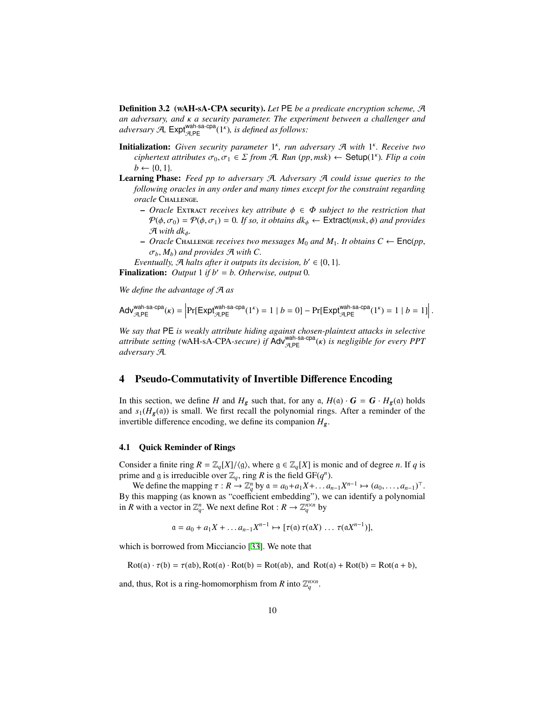Definition 3.2 (wAH-sA-CPA security). *Let* PE *be a predicate encryption scheme,* A *an adversary, and* κ *a security parameter. The experiment between a challenger and* adversary  $\mathcal{A}$ ,  $\mathsf{Expt}_{\mathcal{A},\mathsf{PE}}^{\mathsf{wah-sa-cpa}}(1^{\kappa})$ *, is defined as follows:* 

- **Initialization:** Given security parameter 1<sup>k</sup>, run adversary *A* with 1<sup>k</sup>. Receive two  $ciphertext$  attributes  $\sigma_0, \sigma_1 \in \Sigma$  from A. Run (pp, msk)  $\leftarrow$  Setup(1<sup>k</sup>). Flip a coin  $b \leftarrow \{0, 1\}.$
- Learning Phase: *Feed pp to adversary* A*. Adversary* A *could issue queries to the following oracles in any order and many times except for the constraint regarding oracle* Challenge*.*
	- $\sim$  *Oracle* Extract *receives* key attribute  $\phi \in \Phi$  *subject to the restriction that*  $P(\phi, \sigma_0) = P(\phi, \sigma_1) = 0$ . If so, it obtains  $dk_{\phi} \leftarrow$  Extract(msk,  $\phi$ ) and provides  $\mathcal{A}$  *with dk*<sub> $\phi$ </sub>.
	- $−$  *Oracle* CHALLENGE *receives two messages*  $M_0$  *and*  $M_1$ *. It obtains*  $C \leftarrow \text{Enc}(pp,$  $\sigma_b$ ,  $M_b$ ) *and provides*  $\mathcal{A}$  *with*  $C$ .
- *Eventually,*  $\mathcal{A}$  *halts after it outputs its decision, b'*  $\in$  {0, 1}*.* Finalization: *Output* 1 *if b*′ = *b. Otherwise, output* 0*.*

*We define the advantage of* A *as*

$$
\mathsf{Adv}_{\mathcal{A},\mathsf{PE}}^{\mathsf{wah}\text{-}\mathsf{sa}\text{-}\mathsf{cpa}}(\kappa) = \Big|\mathsf{Pr}[\mathsf{Expt}_{\mathcal{A},\mathsf{PE}}^{\mathsf{wah}\text{-}\mathsf{sa}\text{-}\mathsf{cpa}}(1^\kappa) = 1 \mid b = 0] - \mathsf{Pr}[\mathsf{Expt}_{\mathcal{A},\mathsf{PE}}^{\mathsf{wah}\text{-}\mathsf{sa}\text{-}\mathsf{cpa}}(1^\kappa) = 1 \mid b = 1]\Big|\,.
$$

*We say that* PE *is weakly attribute hiding against chosen-plaintext attacks in selective attribute setting (wAH-sA-CPA-secure) if Adv<sup>wah-sa-cpa</sup>(κ) is negligible for every PPT adversary* A*.*

# <span id="page-9-0"></span>4 Pseudo-Commutativity of Invertible Difference Encoding

In this section, we define *H* and  $H_g$  such that, for any  $\alpha$ ,  $H(\alpha) \cdot G = G \cdot H_g(\alpha)$  holds and  $s_1(H_g(\mathfrak{a}))$  is small. We first recall the polynomial rings. After a reminder of the invertible difference encoding, we define its companion *Hg*.

#### 4.1 Quick Reminder of Rings

Consider a finite ring  $R = \mathbb{Z}_q[X]/\langle g \rangle$ , where  $g \in \mathbb{Z}_q[X]$  is monic and of degree *n*. If *q* is prime and g is irreducible over  $\mathbb{Z}_q$ , ring *R* is the field GF( $q^n$ ).

We define the mapping  $\tau : R \to \mathbb{Z}_q^n$  by  $\mathfrak{a} = a_0 + a_1 X + \dots + a_{n-1} X^{n-1} \mapsto (a_0, \dots, a_{n-1})^\top$ . By this mapping (as known as "coefficient embedding"), we can identify a polynomial in *R* with a vector in  $\mathbb{Z}_q^n$ . We next define Rot :  $R \to \mathbb{Z}_q^{n \times n}$  by

$$
\mathfrak{a}=a_0+a_1X+\ldots a_{n-1}X^{n-1}\mapsto [\tau(\mathfrak{a})\,\tau(\mathfrak{a}X)\,\ldots\,\tau(\mathfrak{a}X^{n-1})],
$$

which is borrowed from Micciancio [[33\]](#page-17-14). We note that

$$
Rot(a) \cdot \tau(b) = \tau(ab), Rot(a) \cdot Rot(b) = Rot(ab), and Rot(a) + Rot(b) = Rot(a + b),
$$

and, thus, Rot is a ring-homomorphism from *R* into  $\mathbb{Z}_q^{n \times n}$ .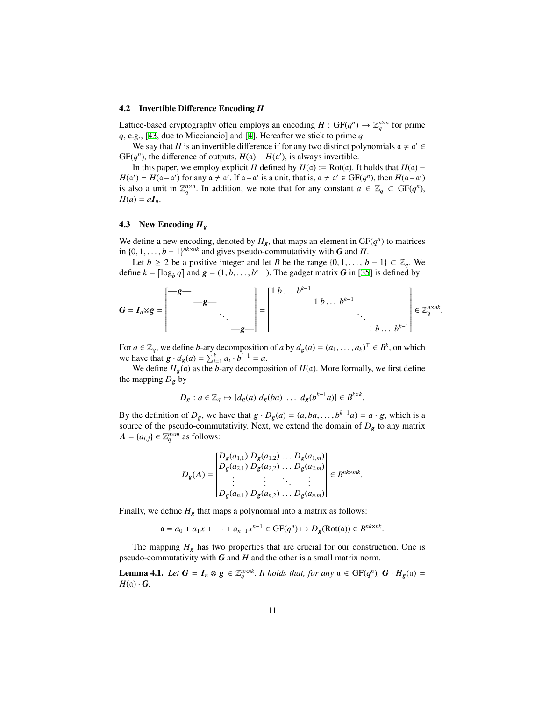#### 4.2 Invertible Difference Encoding *H*

Lattice-based cryptography often employs an encoding  $H : GF(q^n) \to \mathbb{Z}_q^{n \times n}$  for prime *q*, e.g., [\[43](#page-17-15), due to Micciancio] and [\[4](#page-15-5)]. Hereafter we stick to prime *q*.

We say that *H* is an invertible difference if for any two distinct polynomials  $a \neq a' \in$  $GF(q^n)$ , the difference of outputs,  $H(\mathfrak{a}) - H(\mathfrak{a}')$ , is always invertible.

In this paper, we employ explicit *H* defined by  $H(\alpha) := Rot(\alpha)$ . It holds that  $H(\alpha)$  –  $H(\alpha') = H(\alpha - \alpha')$  for any  $\alpha \neq \alpha'$ . If  $\alpha - \alpha'$  is a unit, that is,  $\alpha \neq \alpha' \in \text{GF}(q^n)$ , then  $H(\alpha - \alpha')$ is also a unit in  $\mathbb{Z}_q^{n \times n}$ . In addition, we note that for any constant  $a \in \mathbb{Z}_q \subset \text{GF}(q^n)$ ,  $H(a) = aI_n$ .

## 4.3 New Encoding *H<sup>g</sup>*

We define a new encoding, denoted by  $H_g$ , that maps an element in  $GF(q^n)$  to matrices in  ${0, 1, \ldots, b − 1}^{nk \times nk}$  and gives pseudo-commutativity with *G* and *H*.

Let *b* ≥ 2 be a positive integer and let *B* be the range  $\{0, 1, \ldots, b - 1\}$  ⊂  $\mathbb{Z}_q$ . We define  $k = \lceil \log_b q \rceil$  and  $g = (1, b, \dots, b^{k-1})$ . The gadget matrix *G* in [[35\]](#page-17-9) is defined by

$$
G = I_n \otimes g = \begin{bmatrix} -g & & & \\ & -g & & \\ & & \ddots & \\ & & & -g \end{bmatrix} = \begin{bmatrix} 1 & b & \dots & b^{k-1} & & \\ & & 1 & b & \dots & b^{k-1} & \\ & & & \ddots & \\ & & & & 1 & b & \dots & b^{k-1} \end{bmatrix} \in \mathbb{Z}_q^{n \times nk}.
$$

For  $a \in \mathbb{Z}_q$ , we define *b*-ary decomposition of *a* by  $d_g(a) = (a_1, \dots, a_k)^\top \in B^k$ , on which we have that  $g \cdot d_g(a) = \sum_{i=1}^{k} a_i \cdot b^{i-1} = a$ .

We define  $H_g$ (a) as the *b*-ary decomposition of  $H$ (a). More formally, we first define the mapping  $D_g$  by

$$
D_g: a \in \mathbb{Z}_q \mapsto [d_g(a) \ d_g(ba) \ \ldots \ d_g(b^{k-1}a)] \in B^{k \times k}.
$$

By the definition of  $D_g$ , we have that  $g \cdot D_g(a) = (a, ba, \dots, b^{k-1}a) = a \cdot g$ , which is a source of the pseudo-commutativity. Next, we extend the domain of  $D_g$  to any matrix  $A = \{a_{i,j}\} \in \mathbb{Z}_q^{n \times m}$  as follows:

$$
D_g(A) = \begin{bmatrix} D_g(a_{1,1}) D_g(a_{1,2}) \dots D_g(a_{1,m}) \\ D_g(a_{2,1}) D_g(a_{2,2}) \dots D_g(a_{2,m}) \\ \vdots & \vdots \\ D_g(a_{n,1}) D_g(a_{n,2}) \dots D_g(a_{n,m}) \end{bmatrix} \in B^{nk \times mk}
$$

.

Finally, we define  $H_g$  that maps a polynomial into a matrix as follows:

$$
\mathfrak{a} = a_0 + a_1 x + \dots + a_{n-1} x^{n-1} \in \mathbf{GF}(q^n) \mapsto D_g(\mathbf{Rot}(\mathfrak{a})) \in B^{nk \times nk}.
$$

The mapping  $H_g$  has two properties that are crucial for our construction. One is pseudo-commutativity with *G* and *H* and the other is a small matrix norm.

**Lemma 4.1.** *Let*  $G = I_n \otimes g \in \mathbb{Z}_q^{n \times nk}$ *. It holds that, for any*  $\alpha \in GF(q^n)$ *,*  $G \cdot H_g(\alpha) =$  $H(\mathfrak{a}) \cdot G$ .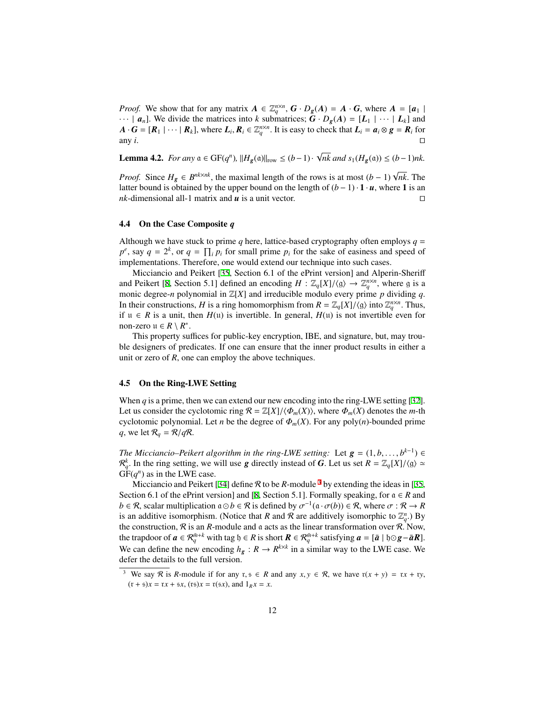*Proof.* We show that for any matrix  $A \in \mathbb{Z}_q^{n \times n}$ ,  $G \cdot D_g(A) = A \cdot G$ , where  $A = [a_1 \mid a_2 \mid a_3 \mid a_4 \mid a_5 \in \mathbb{Z}_q^{n \times n}$ ,  $G \cdot D_g(A) = A \cdot G$ , where  $A = [a_1 \mid a_2 \mid a_3 \mid a_4 \mid a_5 \in \mathbb{Z}_q^{n \times n}$  $\cdots$  |  $a_n$ ]. We divide the matrices into *k* submatrices;  $G \cdot D_g(A) = [L_1 \mid \cdots \mid L_k]$  and  $A \cdot G = [R_1 | \cdots | R_k]$ , where  $L_i, R_i \in \mathbb{Z}_q^{n \times n}$ . It is easy to check that  $L_i = a_i \otimes g = R_i$  for any *i*.  $□$ 

**Lemma 4.2.** *For any*  $a \in GF(q^n)$ ,  $||H_g(a)||_{row} \leq (b-1)$ · √ *nk and s*<sub>1</sub>( $H_g$ ( $a$ )) ≤ (*b* − 1)*nk*.

*Proof.* Since  $H_g \in B^{nk \times nk}$ , the maximal length of the rows is at most  $(b-1)\sqrt{nk}$ . The latter bound is obtained by the upper bound on the length of  $(b-1) \cdot 1 \cdot u$ , where 1 is an *nk*-dimensional all-1 matrix and *u* is a unit vector. ⊓⊔

## 4.4 On the Case Composite *q*

Although we have stuck to prime  $q$  here, lattice-based cryptography often employs  $q =$  $p^e$ , say  $q = 2^k$ , or  $q = \prod_i p_i$  for small prime  $p_i$  for the sake of easiness and speed of implementations. Therefore, one would extend our technique into such cases.

Micciancio and Peikert [[35](#page-17-9), Section 6.1 of the ePrint version] and Alperin-Sheriff and Peikert [[8,](#page-15-6) Section 5.1] defined an encoding  $H : \mathbb{Z}_q[X]/\langle g \rangle \to \mathbb{Z}_q^{n \times n}$ , where g is a monic degree-*n* polynomial in  $\mathbb{Z}[X]$  and irreducible modulo every prime *p* dividing *q*. In their constructions, *H* is a ring homomorphism from  $R = \mathbb{Z}_q[X]/\langle g \rangle$  into  $\mathbb{Z}_q^{n \times n}$ . Thus, if u ∈ *R* is a unit, then *H*(u) is invertible. In general, *H*(u) is not invertible even for non-zero  $u \in R \setminus R^*$ .

This property suffices for public-key encryption, IBE, and signature, but, may trouble designers of predicates. If one can ensure that the inner product results in either a unit or zero of *R*, one can employ the above techniques.

## 4.5 On the Ring-LWE Setting

When *q* is a prime, then we can extend our new encoding into the ring-LWE setting [[32\]](#page-17-8). Let us consider the cyclotomic ring  $\mathcal{R} = \mathbb{Z}[X]/\langle \Phi_m(X) \rangle$ , where  $\Phi_m(X)$  denotes the *m*-th cyclotomic polynomial. Let *n* be the degree of  $\Phi_m(X)$ . For any poly(*n*)-bounded prime *q*, we let  $\mathcal{R}_q = \mathcal{R}/q\mathcal{R}$ .

*The Micciancio–Peikert algorithm in the ring-LWE setting:* Let  $g = (1, b, \ldots, b^{k-1}) \in$  $\mathcal{R}_q^k$ . In the ring setting, we will use *g* directly instead of *G*. Let us set  $R = \mathbb{Z}_q[X]/\langle g \rangle \simeq$  $GF(q^n)$  as in the LWE case.

Micciancio and Peikert [\[34](#page-17-10)] define  $R$  to be  $R$ -module  $3$  by extending the ideas in [\[35](#page-17-9), Section 6.1 of the ePrint version] and [\[8](#page-15-6), Section 5.1]. Formally speaking, for  $a \in R$  and  $b \in \mathcal{R}$ , scalar multiplication  $a \odot b \in \mathcal{R}$  is defined by  $\sigma^{-1}(a \cdot \sigma(b)) \in \mathcal{R}$ , where  $\sigma : \mathcal{R} \to R$ is an additive isomorphism. (Notice that *R* and *R* are additively isomorphic to  $\mathbb{Z}_q^n$ .) By the construction,  $R$  is an  $R$ -module and  $\alpha$  acts as the linear transformation over  $R$ . Now, the trapdoor of  $a \in \mathcal{R}_q^{\bar{m}+k}$  with tag  $\mathfrak{h} \in R$  is short  $R \in \mathcal{R}_q^{\bar{m}+k}$  satisfying  $a = [\bar{a} \mid \mathfrak{h} \odot g - \bar{a}R]$ . We can define the new encoding  $h_g: R \to R^{k \times k}$  in a similar way to the LWE case. We defer the details to the full version.

<span id="page-11-0"></span><sup>&</sup>lt;sup>3</sup> We say R is R-module if for any  $x, y \in R$  and any  $x, y \in R$ , we have  $r(x + y) = rx + ry$ ,  $(r + 5)x = rx + 5x$ ,  $(r5)x = r(5x)$ , and  $1_Rx = x$ .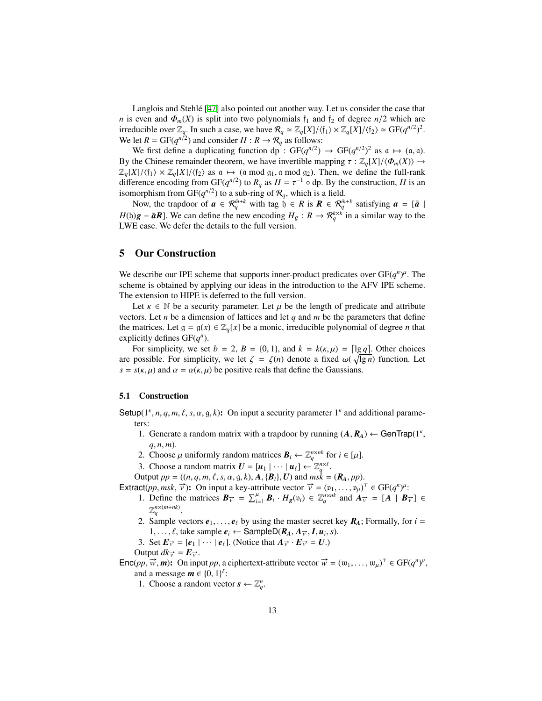Langlois and Stehle  $[47]$  $[47]$  $[47]$  also pointed out another way. Let us consider the case that *n* is even and  $\Phi_m(X)$  is split into two polynomials  $f_1$  and  $f_2$  of degree  $n/2$  which are irreducible over  $\mathbb{Z}_q$ . In such a case, we have  $\mathcal{R}_q \simeq \mathbb{Z}_q[X]/\langle \mathfrak{f}_1 \rangle \times \mathbb{Z}_q[X]/\langle \mathfrak{f}_2 \rangle \simeq \text{GF}(q^{n/2})^2$ . We let  $R = \text{GF}(q^{n/2})$  and consider  $H : R \to R_q$  as follows:

We first define a duplicating function dp :  $GF(q^{n/2}) \rightarrow GF(q^{n/2})^2$  as  $\alpha \mapsto (\alpha, \alpha)$ . By the Chinese remainder theorem, we have invertible mapping  $\tau : \mathbb{Z}_q[X]/\langle \Phi_m(X) \rangle \to$  $\mathbb{Z}_{q}[X]/\langle \mathfrak{f}_1 \rangle \times \mathbb{Z}_{q}[X]/\langle \mathfrak{f}_2 \rangle$  as  $\mathfrak{a} \mapsto (\mathfrak{a} \bmod \mathfrak{g}_1, \mathfrak{a} \bmod \mathfrak{g}_2)$ . Then, we define the full-rank difference encoding from GF( $q^{n/2}$ ) to  $R_q$  as  $H = \tau^{-1} \circ dp$ . By the construction, *H* is an isomorphism from GF( $q^{n/2}$ ) to a sub-ring of  $\mathcal{R}_q$ , which is a field.

Now, the trapdoor of  $a \in \mathcal{R}_q^{\bar{m}+k}$  with tag  $b \in R$  is  $R \in \mathcal{R}_q^{\bar{m}+k}$  satisfying  $a = [\bar{a} \mid \bar{a}]$ *H*(b) $g - \bar{a}R$ ]. We can define the new encoding  $H_g : R \to \mathcal{R}_q^{k \times k}$  in a similar way to the LWE case. We defer the details to the full version.

# 5 Our Construction

We describe our IPE scheme that supports inner-product predicates over  $GF(q^n)^{\mu}$ . The scheme is obtained by applying our ideas in the introduction to the AFV IPE scheme. The extension to HIPE is deferred to the full version.

Let  $\kappa \in \mathbb{N}$  be a security parameter. Let  $\mu$  be the length of predicate and attribute vectors. Let *n* be a dimension of lattices and let *q* and *m* be the parameters that define the matrices. Let  $g = g(x) \in \mathbb{Z}_q[x]$  be a monic, irreducible polynomial of degree *n* that explicitly defines  $GF(q^n)$ .

For simplicity, we set  $b = 2$ ,  $B = \{0, 1\}$ , and  $k = k(\kappa, \mu) = \lceil \lg q \rceil$ . Other choices are possible. For simplicity, we let  $\zeta = \zeta(n)$  denote a fixed  $\omega(\sqrt{\lg n})$  function. Let  $s = s(\kappa, \mu)$  and  $\alpha = \alpha(\kappa, \mu)$  be positive reals that define the Gaussians.

#### 5.1 Construction

Setup( $1^k$ , *n*, *q*, *m*, *ℓ*, *s*, *α*, *g*, *k*): On input a security parameter  $1^k$  and additional parameters:

- 1. Generate a random matrix with a trapdoor by running  $(A, R_A) \leftarrow$  GenTrap(1<sup>k</sup>, *q*, *n*, *m*).
- 2. Choose  $\mu$  uniformly random matrices  $\mathbf{B}_i \leftarrow \mathbb{Z}_q^{n \times nk}$  for  $i \in [\mu]$ .
- 3. Choose a random matrix  $U = [u_1 | \cdots | u_\ell] \leftarrow \mathbb{Z}_q^{n \times \ell}$ .
- Output  $pp = ((n, q, m, \ell, s, \alpha, g, k), A, {B<sub>i</sub>}, U)$  and  $msk = (R<sub>A</sub>, pp)$ .
- Extract(*pp*, *msk*,  $\vec{v}$ ): On input a key-attribute vector  $\vec{v} = (v_1, \dots, v_\mu)^\top \in GF(q^n)^\mu$ :
	- 1. Define the matrices  $B_{\vec{v}} = \sum_{i=1}^{\mu} B_i \cdot H_g(v_i) \in \mathbb{Z}_q^{n \times nk}$  and  $A_{\vec{v}} = [A \mid B_{\vec{v}}] \in$  $\mathbb{Z}_q^{n \times (m+nk)}$ .
	- 2. Sample vectors  $e_1, \ldots, e_\ell$  by using the master secret key  $R_A$ ; Formally, for  $i =$ 1, ...,  $\ell$ , take sample  $e_i \leftarrow$  Sample D $(R_A, A_{\vec{v}}, I, u_i, s)$ .
	- 3. Set  $E_{\vec{v}} = [e_1 | \cdots | e_\ell]$ . (Notice that  $A_{\vec{v}} \cdot E_{\vec{v}} = U$ .)

Output  $dk_{\vec{v}} = \mathbf{E}_{\vec{v}}$ .

 $\text{Enc}(pp, \vec{w}, \vec{m})$ : On input *pp*, a ciphertext-attribute vector  $\vec{w} = (w_1, \dots, w_\mu)^\top \in \text{GF}(q^n)^\mu$ , and a message  $\mathbf{m} \in \{0, 1\}^{\ell}$ :

1. Choose a random vector  $s \leftarrow \mathbb{Z}_q^n$ .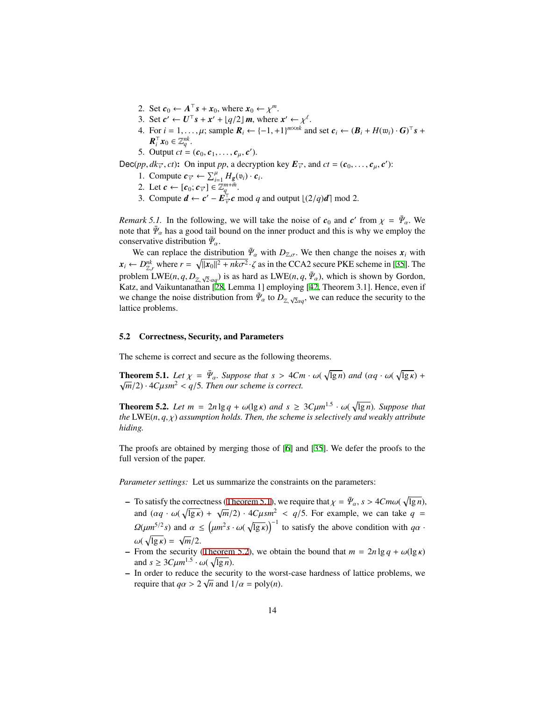- 2. Set  $c_0 \leftarrow A^{\top} s + x_0$ , where  $x_0 \leftarrow \chi^m$ .
- 3. Set  $c' \leftarrow U^{\top} s + x' + \lfloor q/2 \rfloor m$ , where  $x' \leftarrow \chi^{\ell}$ .
- 4. For  $i = 1, ..., \mu$ ; sample  $\mathbf{R}_i \leftarrow \{-1, +1\}^{m \times nk}$  and set  $\mathbf{c}_i \leftarrow (\mathbf{B}_i + H(\mathbf{w}_i) \cdot \mathbf{G})^\top \mathbf{s}$  +  $\boldsymbol{R}_i^{\top} \boldsymbol{x}_0 \in \mathbb{Z}_q^{nk}$ .
- 5. Output  $ct = (c_0, c_1, \ldots, c_\mu, c')$ .

Dec(*pp*,  $dk_{\vec{v}}$ , *ct*): On input *pp*, a decryption key  $E_{\vec{v}}$ , and  $ct = (c_0, \ldots, c_\mu, c')$ :

- 1. Compute  $c_{\overrightarrow{v}} \leftarrow \sum_{i=1}^{\mu} H_g(v_i) \cdot c_i$ .
- 2. Let  $\mathbf{c} \leftarrow [\mathbf{c}_0; \mathbf{c}_{\vec{v}}] \in \mathbb{Z}_q^{m+\bar{m}}$ .
- 3. Compute  $d \leftarrow c' E^{\dagger}_{\vec{v}} c \mod q$  and output  $\lfloor (2/q)d \rceil \mod 2$ .

*Remark 5.1.* In the following, we will take the noise of  $c_0$  and  $c'$  from  $\chi = \bar{\Psi}_\alpha$ . We note that  $\bar{\Psi}_{\alpha}$  has a good tail bound on the inner product and this is why we employ the conservative distribution  $\bar{\Psi}_{\alpha}$ .

We can replace the distribution  $\bar{\Psi}_\alpha$  with  $D_{\mathbb{Z},\sigma}$ . We then change the noises  $x_i$  with  $x_i \leftarrow D_{\mathbb{Z},r}^{nk}$  where  $r = \sqrt{\|x_0\|^2 + nk\sigma^2} \cdot \zeta$  as in the CCA2 secure PKE scheme in [\[35](#page-17-9)]. The problem LWE(*n*, *q*,  $D_{\mathbb{Z}, \sqrt{2} \cdot \alpha q}$ ) is as hard as LWE(*n*, *q*,  $\bar{\Psi}_{\alpha}$ ), which is shown by Gordon, Katz, and Vaikuntanathan [[28,](#page-16-14) Lemma 1] employing [[42](#page-17-13), Theorem 3.1]. Hence, even if we change the noise distribution from  $\bar{\Psi}_{\alpha}$  to  $D_{\mathbb{Z},\sqrt{2}\alpha q}$ , we can reduce the security to the lattice problems.

## 5.2 Correctness, Security, and Parameters

<span id="page-13-0"></span>The scheme is correct and secure as the following theorems.

**Theorem 5.1.** *Let*  $\chi = \bar{\Psi}_\alpha$ . *Suppose that*  $s > 4Cm \cdot \omega(\sqrt{\lg n})$  *and*  $(\alpha q \cdot \omega(\sqrt{\lg \kappa}) + \sqrt{\log n})$  $\sqrt{m}/2$ ) ·  $4C\mu s m^2 < q/5$ . Then our scheme is correct.

<span id="page-13-1"></span>**Theorem 5.2.** Let  $m = 2n \lg q + \omega(\lg \kappa)$  and  $s \geq 3C \mu m^{1.5} \cdot \omega(\sqrt{\lg n})$ . Suppose that *the* LWE(*n*, *q*, χ) *assumption holds. Then, the scheme is selectively and weakly attribute hiding.*

The proofs are obtained by merging those of [[6\]](#page-15-1) and [\[35](#page-17-9)]. We defer the proofs to the full version of the paper.

*Parameter settings:* Let us summarize the constraints on the parameters:

- $-$  To satisfy the correctness ([Theorem 5.1](#page-13-0)), we require that  $\chi = \bar{\Psi}_{\alpha}$ ,  $s > 4Cm\omega(\sqrt{\lg n})$ , and  $(\alpha q \cdot \omega(\sqrt{lg} \kappa) + \sqrt{m}/2) \cdot 4C\mu s m^2 < q/5$ . For example, we can take  $q =$  $\Omega(\mu m^{5/2}s)$  and  $\alpha \leq (\mu m^2 s \cdot \omega(\sqrt{\lg \kappa}))^{-1}$  to satisfy the above condition with  $q\alpha$ .  $ω( \sqrt{\lg \kappa}) = \sqrt{m/2}.$
- From the security ([Theorem 5.2](#page-13-1)), we obtain the bound that  $m = 2n \lg q + \omega(\lg \kappa)$ and  $s \geq 3C \mu m^{1.5} \cdot \omega(\sqrt{\lg n}).$
- $\overline{\phantom{a}}$  In order to reduce the security to the worst-case hardness of lattice problems, we require that  $q\alpha > 2\sqrt{n}$  and  $1/\alpha = \text{poly}(n)$ .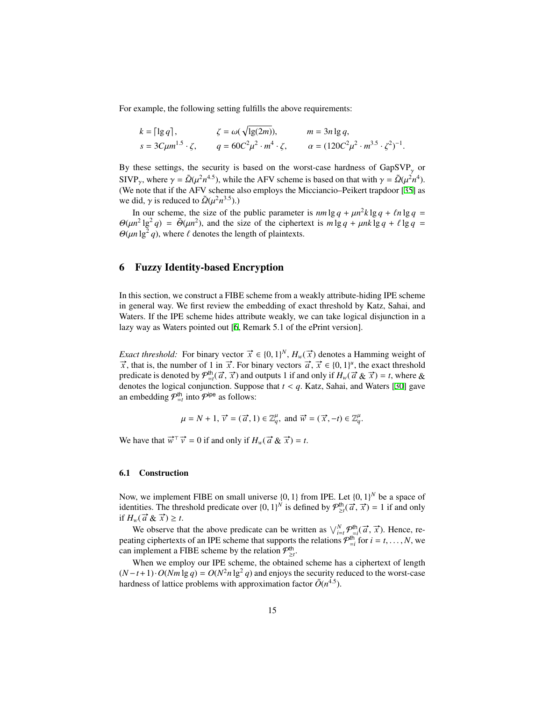For example, the following setting fulfills the above requirements:

$$
k = \lceil \lg q \rceil
$$
,  $\zeta = \omega(\sqrt{\lg(2m)})$ ,  $m = 3n \lg q$ ,  
\n $s = 3C\mu m^{1.5} \cdot \zeta$ ,  $q = 60C^2\mu^2 \cdot m^4 \cdot \zeta$ ,  $\alpha = (120C^2\mu^2 \cdot m^{3.5} \cdot \zeta^2)^{-1}$ .

By these settings, the security is based on the worst-case hardness of  $GapSVP_{\gamma}$  or SIVP<sub>y</sub>, where  $\gamma = \tilde{Q}(\mu^2 n^{4.5})$ , while the AFV scheme is based on that with  $\gamma = \tilde{Q}(\mu^2 n^4)$ . (We note that if the AFV scheme also employs the Micciancio–Peikert trapdoor [[35\]](#page-17-9) as we did,  $\gamma$  is reduced to  $\tilde{\Omega}(\mu^2 n^{3.5})$ .)

In our scheme, the size of the public parameter is  $nm \lg q + \mu n^2 k \lg q + \ln \lg q =$  $\Theta(\mu n^2 \lg^2 q) = \tilde{\Theta}(\mu n^2)$ , and the size of the ciphertext is  $m \lg q + \mu n k \lg q + \ell \lg q =$  $\Theta(\mu n \lg^2 q)$ , where  $\ell$  denotes the length of plaintexts.

# 6 Fuzzy Identity-based Encryption

In this section, we construct a FIBE scheme from a weakly attribute-hiding IPE scheme in general way. We first review the embedding of exact threshold by Katz, Sahai, and Waters. If the IPE scheme hides attribute weakly, we can take logical disjunction in a lazy way as Waters pointed out [\[6](#page-15-1), Remark 5.1 of the ePrint version].

*Exact threshold:* For binary vector  $\vec{x} \in \{0, 1\}^N$ ,  $H_w(\vec{x})$  denotes a Hamming weight of  $\vec{x}$ , that is, the number of 1 in  $\vec{x}$ . For binary vectors  $\vec{a}$ ,  $\vec{x} \in \{0, 1\}^u$ , the exact threshold predicate is denoted by  $\mathcal{P}_{\frac{1}{2}i}^{\text{ht}}(\vec{a}, \vec{x})$  and outputs 1 if and only if  $H_w(\vec{a} \& \vec{x}) = t$ , where & denotes the logical conjunction. Suppose that *t* < *q*. Katz, Sahai, and Waters [\[30](#page-17-0)] gave an embedding  $\mathcal{P}^{\text{th}}_{=t}$  into  $\mathcal{P}^{\text{ipe}}$  as follows:

$$
\mu = N + 1
$$
,  $\vec{v} = (\vec{a}, 1) \in \mathbb{Z}_q^{\mu}$ , and  $\vec{w} = (\vec{x}, -t) \in \mathbb{Z}_q^{\mu}$ .

We have that  $\vec{w}^{\top} \vec{v} = 0$  if and only if  $H_w(\vec{a} \& \vec{x}) = t$ .

#### 6.1 Construction

Now, we implement FIBE on small universe  $\{0, 1\}$  from IPE. Let  $\{0, 1\}^N$  be a space of identities. The threshold predicate over  $\{0, 1\}^N$  is defined by  $\mathcal{P}_{\geq t}^{\text{th}}(\vec{a}, \vec{x}) = 1$  if and only if  $H_w(\vec{a} \& \vec{x}) \geq t$ .

We observe that the above predicate can be written as  $\bigvee_{i=t}^{N} p_{i}^{\text{th}}(\vec{a}, \vec{x})$ . Hence, repeating ciphertexts of an IPE scheme that supports the relations  $\mathcal{P}_{=i}^{\text{th}}$  for  $i = t, ..., N$ , we can implement a FIBE scheme by the relation  $\mathcal{P}_{\geq t}^{\text{th}}$ .

When we employ our IPE scheme, the obtained scheme has a ciphertext of length  $(N-t+1) \cdot O(Nm \lg q) = O(N^2 n \lg^2 q)$  and enjoys the security reduced to the worst-case hardness of lattice problems with approximation factor  $\tilde{O}(n^{4.5})$ .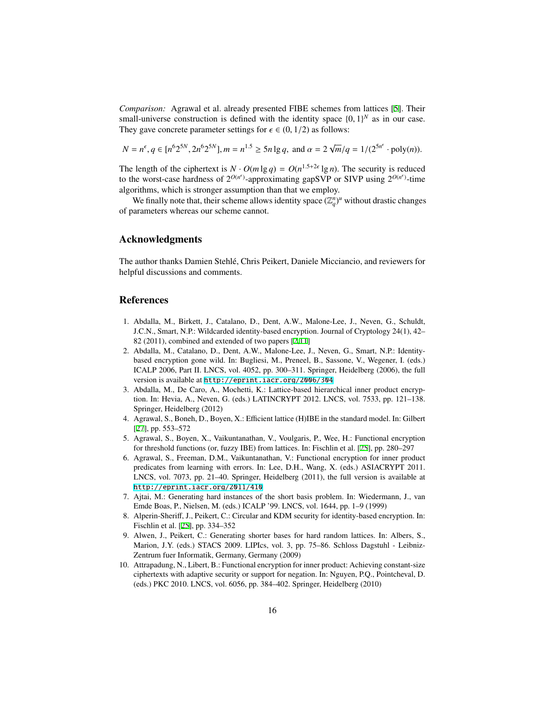*Comparison:* Agrawal et al. already presented FIBE schemes from lattices [\[5](#page-15-4)]. Their small-universe construction is defined with the identity space  $\{0, 1\}^N$  as in our case. They gave concrete parameter settings for  $\epsilon \in (0, 1/2)$  as follows:

$$
N = n^{\epsilon}, q \in [n^6 2^{5N}, 2n^6 2^{5N}], m = n^{1.5} \ge 5n \lg q, \text{ and } \alpha = 2\sqrt{m}/q = 1/(2^{5n^{\epsilon}} \cdot \text{poly}(n)).
$$

The length of the ciphertext is  $N \cdot O(m \lg q) = O(n^{1.5+2\epsilon} \lg n)$ . The security is reduced to the worst-case hardness of  $2^{O(n^{\epsilon})}$ -approximating gapSVP or SIVP using  $2^{O(n^{\epsilon})}$ -time algorithms, which is stronger assumption than that we employ.

We finally note that, their scheme allows identity space  $(\mathbb{Z}_q^n)^u$  without drastic changes of parameters whereas our scheme cannot.

## Acknowledgments

The author thanks Damien Stehle, Chris Peikert, Daniele Micciancio, and reviewers for ´ helpful discussions and comments.

## References

- <span id="page-15-2"></span>1. Abdalla, M., Birkett, J., Catalano, D., Dent, A.W., Malone-Lee, J., Neven, G., Schuldt, J.C.N., Smart, N.P.: Wildcarded identity-based encryption. Journal of Cryptology 24(1), 42– 82 (2011), combined and extended of two papers [[2](#page-15-9)[,11](#page-16-15)]
- <span id="page-15-9"></span>2. Abdalla, M., Catalano, D., Dent, A.W., Malone-Lee, J., Neven, G., Smart, N.P.: Identitybased encryption gone wild. In: Bugliesi, M., Preneel, B., Sassone, V., Wegener, I. (eds.) ICALP 2006, Part II. LNCS, vol. 4052, pp. 300–311. Springer, Heidelberg (2006), the full version is available at <http://eprint.iacr.org/2006/304>
- <span id="page-15-3"></span>3. Abdalla, M., De Caro, A., Mochetti, K.: Lattice-based hierarchical inner product encryption. In: Hevia, A., Neven, G. (eds.) LATINCRYPT 2012. LNCS, vol. 7533, pp. 121–138. Springer, Heidelberg (2012)
- <span id="page-15-5"></span>4. Agrawal, S., Boneh, D., Boyen, X.: Efficient lattice (H)IBE in the standard model. In: Gilbert [[27\]](#page-16-16), pp. 553–572
- <span id="page-15-4"></span>5. Agrawal, S., Boyen, X., Vaikuntanathan, V., Voulgaris, P., Wee, H.: Functional encryption for threshold functions (or, fuzzy IBE) from lattices. In: Fischlin et al. [[25\]](#page-16-17), pp. 280–297
- <span id="page-15-1"></span>6. Agrawal, S., Freeman, D.M., Vaikuntanathan, V.: Functional encryption for inner product predicates from learning with errors. In: Lee, D.H., Wang, X. (eds.) ASIACRYPT 2011. LNCS, vol. 7073, pp. 21–40. Springer, Heidelberg (2011), the full version is available at <http://eprint.iacr.org/2011/410>
- <span id="page-15-7"></span>7. Ajtai, M.: Generating hard instances of the short basis problem. In: Wiedermann, J., van Emde Boas, P., Nielsen, M. (eds.) ICALP '99. LNCS, vol. 1644, pp. 1–9 (1999)
- <span id="page-15-6"></span>8. Alperin-Sheriff, J., Peikert, C.: Circular and KDM security for identity-based encryption. In: Fischlin et al. [[25\]](#page-16-17), pp. 334–352
- <span id="page-15-8"></span>9. Alwen, J., Peikert, C.: Generating shorter bases for hard random lattices. In: Albers, S., Marion, J.Y. (eds.) STACS 2009. LIPIcs, vol. 3, pp. 75–86. Schloss Dagstuhl - Leibniz-Zentrum fuer Informatik, Germany, Germany (2009)
- <span id="page-15-0"></span>10. Attrapadung, N., Libert, B.: Functional encryption for inner product: Achieving constant-size ciphertexts with adaptive security or support for negation. In: Nguyen, P.Q., Pointcheval, D. (eds.) PKC 2010. LNCS, vol. 6056, pp. 384–402. Springer, Heidelberg (2010)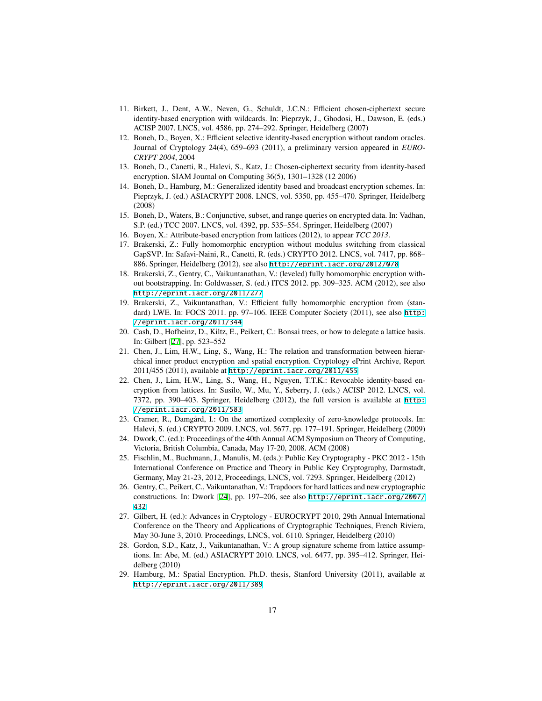- <span id="page-16-15"></span>11. Birkett, J., Dent, A.W., Neven, G., Schuldt, J.C.N.: Efficient chosen-ciphertext secure identity-based encryption with wildcards. In: Pieprzyk, J., Ghodosi, H., Dawson, E. (eds.) ACISP 2007. LNCS, vol. 4586, pp. 274–292. Springer, Heidelberg (2007)
- <span id="page-16-9"></span>12. Boneh, D., Boyen, X.: Efficient selective identity-based encryption without random oracles. Journal of Cryptology 24(4), 659–693 (2011), a preliminary version appeared in *EURO-CRYPT 2004*, 2004
- <span id="page-16-4"></span>13. Boneh, D., Canetti, R., Halevi, S., Katz, J.: Chosen-ciphertext security from identity-based encryption. SIAM Journal on Computing 36(5), 1301–1328 (12 2006)
- <span id="page-16-1"></span>14. Boneh, D., Hamburg, M.: Generalized identity based and broadcast encryption schemes. In: Pieprzyk, J. (ed.) ASIACRYPT 2008. LNCS, vol. 5350, pp. 455–470. Springer, Heidelberg (2008)
- <span id="page-16-0"></span>15. Boneh, D., Waters, B.: Conjunctive, subset, and range queries on encrypted data. In: Vadhan, S.P. (ed.) TCC 2007. LNCS, vol. 4392, pp. 535–554. Springer, Heidelberg (2007)
- <span id="page-16-6"></span>16. Boyen, X.: Attribute-based encryption from lattices (2012), to appear *TCC 2013*.
- <span id="page-16-13"></span>17. Brakerski, Z.: Fully homomorphic encryption without modulus switching from classical GapSVP. In: Safavi-Naini, R., Canetti, R. (eds.) CRYPTO 2012. LNCS, vol. 7417, pp. 868– 886. Springer, Heidelberg (2012), see also <http://eprint.iacr.org/2012/078>
- <span id="page-16-12"></span>18. Brakerski, Z., Gentry, C., Vaikuntanathan, V.: (leveled) fully homomorphic encryption without bootstrapping. In: Goldwasser, S. (ed.) ITCS 2012. pp. 309–325. ACM (2012), see also <http://eprint.iacr.org/2011/277>
- <span id="page-16-11"></span>19. Brakerski, Z., Vaikuntanathan, V.: Efficient fully homomorphic encryption from (standard) LWE. In: FOCS 2011. pp. 97-106. IEEE Computer Society (2011), see also [http:](http://eprint.iacr.org/2011/344) [//eprint.iacr.org/2011/344](http://eprint.iacr.org/2011/344)
- <span id="page-16-8"></span>20. Cash, D., Hofheinz, D., Kiltz, E., Peikert, C.: Bonsai trees, or how to delegate a lattice basis. In: Gilbert [[27\]](#page-16-16), pp. 523–552
- <span id="page-16-3"></span>21. Chen, J., Lim, H.W., Ling, S., Wang, H.: The relation and transformation between hierarchical inner product encryption and spatial encryption. Cryptology ePrint Archive, Report 2011/455 (2011), available at <http://eprint.iacr.org/2011/455>
- <span id="page-16-5"></span>22. Chen, J., Lim, H.W., Ling, S., Wang, H., Nguyen, T.T.K.: Revocable identity-based encryption from lattices. In: Susilo, W., Mu, Y., Seberry, J. (eds.) ACISP 2012. LNCS, vol. 7372, pp. 390–403. Springer, Heidelberg (2012), the full version is available at [http:](http://eprint.iacr.org/2011/583) [//eprint.iacr.org/2011/583](http://eprint.iacr.org/2011/583)
- <span id="page-16-10"></span>23. Cramer, R., Damgård, I.: On the amortized complexity of zero-knowledge protocols. In: Halevi, S. (ed.) CRYPTO 2009. LNCS, vol. 5677, pp. 177–191. Springer, Heidelberg (2009)
- <span id="page-16-18"></span>24. Dwork, C. (ed.): Proceedings of the 40th Annual ACM Symposium on Theory of Computing, Victoria, British Columbia, Canada, May 17-20, 2008. ACM (2008)
- <span id="page-16-17"></span>25. Fischlin, M., Buchmann, J., Manulis, M. (eds.): Public Key Cryptography - PKC 2012 - 15th International Conference on Practice and Theory in Public Key Cryptography, Darmstadt, Germany, May 21-23, 2012, Proceedings, LNCS, vol. 7293. Springer, Heidelberg (2012)
- <span id="page-16-7"></span>26. Gentry, C., Peikert, C., Vaikuntanathan, V.: Trapdoors for hard lattices and new cryptographic constructions. In: Dwork [\[24](#page-16-18)], pp. 197–206, see also [http://eprint.iacr.org/2007/](http://eprint.iacr.org/2007/432) [432](http://eprint.iacr.org/2007/432)
- <span id="page-16-16"></span>27. Gilbert, H. (ed.): Advances in Cryptology - EUROCRYPT 2010, 29th Annual International Conference on the Theory and Applications of Cryptographic Techniques, French Riviera, May 30-June 3, 2010. Proceedings, LNCS, vol. 6110. Springer, Heidelberg (2010)
- <span id="page-16-14"></span>28. Gordon, S.D., Katz, J., Vaikuntanathan, V.: A group signature scheme from lattice assumptions. In: Abe, M. (ed.) ASIACRYPT 2010. LNCS, vol. 6477, pp. 395–412. Springer, Heidelberg (2010)
- <span id="page-16-2"></span>29. Hamburg, M.: Spatial Encryption. Ph.D. thesis, Stanford University (2011), available at <http://eprint.iacr.org/2011/389>